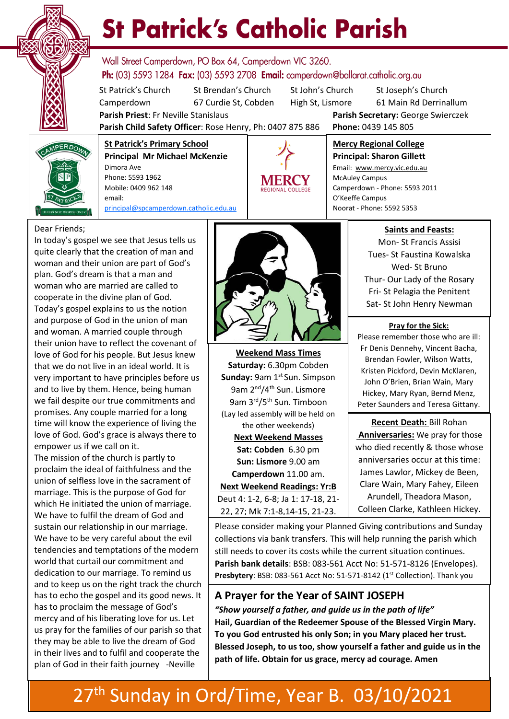

# **St Patrick's Catholic Parish**

Wall Street Camperdown, PO Box 64, Camperdown VIC 3260. **Ph:** (03) 5593 1284 **Fax:** (03) 5593 2708 **Email:** camperdown@ballarat.catholic.org.au

St Patrick's Church St Brendan's Church St John's Church St Joseph's Church Camperdown 67 Curdie St, Cobden High St, Lismore 61 Main Rd Derrinallum

**Parish Priest**: Fr Neville Stanislaus **Parish Secretary:** George Swierczek

**Parish Child Safety Officer**: Rose Henry, Ph: 0407 875 886 **Phone:** 0439 145 805



**St Patrick's Primary School Principal Mr Michael McKenzie**  Dimora Ave Phone: 5593 1962 Mobile: 0409 962 148 email: [principal@spcamperdown.catholic.edu.au](mailto:principal@spcamperdown.catholic.edu.auu)



**Mercy Regional College Principal: Sharon Gillett** Email: www.mercy.vic.edu.au McAuley Campus Camperdown - Phone: 5593 2011

O'Keeffe Campus

Noorat - Phone: 5592 5353

Dear Friends;

In today's gospel we see that Jesus tells us quite clearly that the creation of man and woman and their union are part of God's plan. God's dream is that a man and woman who are married are called to cooperate in the divine plan of God. Today's gospel explains to us the notion and purpose of God in the union of man and woman. A married couple through their union have to reflect the covenant of love of God for his people. But Jesus knew that we do not live in an ideal world. It is very important to have principles before us and to live by them. Hence, being human we fail despite our true commitments and promises. Any couple married for a long time will know the experience of living the love of God. God's grace is always there to empower us if we call on it.

The mission of the church is partly to which He initiated the union of marriage. proclaim the ideal of faithfulness and the union of selfless love in the sacrament of marriage. This is the purpose of God for We have to fulfil the dream of God and sustain our relationship in our marriage. We have to be very careful about the evil tendencies and temptations of the modern world that curtail our commitment and dedication to our marriage. To remind us and to keep us on the right track the church has to echo the gospel and its good news. It has to proclaim the message of God's mercy and of his liberating love for us. Let us pray for the families of our parish so that they may be able to live the dream of God in their lives and to fulfil and cooperate the plan of God in their faith journey -Neville



**Weekend Mass Times Saturday:** 6.30pm Cobden **Sunday: 9am 1st Sun. Simpson** 9am 2<sup>nd</sup>/4<sup>th</sup> Sun. Lismore 9am 3rd/5th Sun. Timboon (Lay led assembly will be held on the other weekends) **Next Weekend Masses Sat: Cobden** 6.30 pm **Sun: Lismore** 9.00 am **Camperdown** 11.00 am. **Next Weekend Readings: Yr:B** Deut 4: 1-2, 6-8; Ja 1: 17-18, 21- 22, 27; Mk 7:1-8,14-15, 21-23.

**Saints and Feasts:**

Mon- St Francis Assisi Tues- St Faustina Kowalska Wed- St Bruno Thur- Our Lady of the Rosary Fri- St Pelagia the Penitent Sat- St John Henry Newman

**Pray for the Sick:**

Please remember those who are ill: Fr Denis Dennehy, Vincent Bacha, Brendan Fowler, Wilson Watts, Kristen Pickford, Devin McKlaren, John O'Brien, Brian Wain, Mary Hickey, Mary Ryan, Bernd Menz, Peter Saunders and Teresa Gittany.

 **Recent Death:** Bill Rohan **Anniversaries:** We pray for those who died recently & those whose anniversaries occur at this time: James Lawlor, Mickey de Been, Clare Wain, Mary Fahey, Eileen Arundell, Theadora Mason, Colleen Clarke, Kathleen Hickey.

Please consider making your Planned Giving contributions and Sunday collections via bank transfers. This will help running the parish which still needs to cover its costs while the current situation continues. **Parish bank details**: BSB: 083-561 Acct No: 51-571-8126 (Envelopes). Presbytery: BSB: 083-561 Acct No: 51-571-8142 (1<sup>st</sup> Collection). Thank you

#### **A Prayer for the Year of SAINT JOSEPH**

*"Show yourself a father, and guide us in the path of life"* **Hail, Guardian of the Redeemer Spouse of the Blessed Virgin Mary. To you God entrusted his only Son; in you Mary placed her trust. Blessed Joseph, to us too, show yourself a father and guide us in the path of life. Obtain for us grace, mercy ad courage. Amen**

### 27<sup>th</sup> Sunday in Ord/Time, Year B. 03/10/2021 6.00 pm Cobden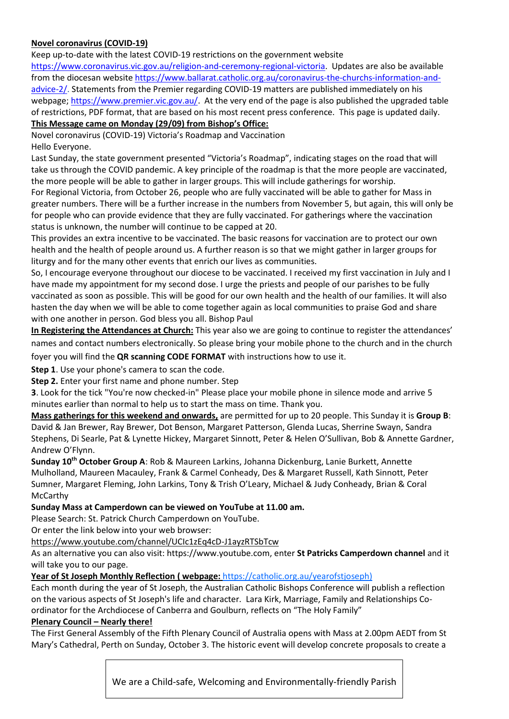#### **Novel coronavirus (COVID-19)**

Keep up-to-date with the latest COVID-19 restrictions on the government website

[https://www.coronavirus.vic.gov.au/religion-and-ceremony-regional-victoria.](https://www.coronavirus.vic.gov.au/religion-and-ceremony-regional-victoria) Updates are also be available from the diocesan website [https://www.ballarat.catholic.org.au/coronavirus-the-churchs-information-and](https://www.ballarat.catholic.org.au/coronavirus-the-churchs-information-and-advice-2/)[advice-2/.](https://www.ballarat.catholic.org.au/coronavirus-the-churchs-information-and-advice-2/) Statements from the Premier regarding COVID-19 matters are published immediately on his webpage; [https://www.premier.vic.gov.au/.](https://www.premier.vic.gov.au/) At the very end of the page is also published the upgraded table of restrictions, PDF format, that are based on his most recent press conference. This page is updated daily.

#### **This Message came on Monday (29/09) from Bishop's Office:**

Novel coronavirus (COVID-19) Victoria's Roadmap and Vaccination Hello Everyone.

Last Sunday, the state government presented "Victoria's Roadmap", indicating stages on the road that will take us through the COVID pandemic. A key principle of the roadmap is that the more people are vaccinated, the more people will be able to gather in larger groups. This will include gatherings for worship.

For Regional Victoria, from October 26, people who are fully vaccinated will be able to gather for Mass in greater numbers. There will be a further increase in the numbers from November 5, but again, this will only be for people who can provide evidence that they are fully vaccinated. For gatherings where the vaccination status is unknown, the number will continue to be capped at 20.

This provides an extra incentive to be vaccinated. The basic reasons for vaccination are to protect our own health and the health of people around us. A further reason is so that we might gather in larger groups for liturgy and for the many other events that enrich our lives as communities.

So, I encourage everyone throughout our diocese to be vaccinated. I received my first vaccination in July and I have made my appointment for my second dose. I urge the priests and people of our parishes to be fully vaccinated as soon as possible. This will be good for our own health and the health of our families. It will also hasten the day when we will be able to come together again as local communities to praise God and share with one another in person. God bless you all. Bishop Paul

**In Registering the Attendances at Church:** This year also we are going to continue to register the attendances' names and contact numbers electronically. So please bring your mobile phone to the church and in the church foyer you will find the **QR scanning CODE FORMAT** with instructions how to use it.

**Step 1**. Use your phone's camera to scan the code.

**Step 2.** Enter your first name and phone number. Step

**3**. Look for the tick "You're now checked-in" Please place your mobile phone in silence mode and arrive 5 minutes earlier than normal to help us to start the mass on time. Thank you.

**Mass gatherings for this weekend and onwards,** are permitted for up to 20 people. This Sunday it is **Group B**: David & Jan Brewer, Ray Brewer, Dot Benson, Margaret Patterson, Glenda Lucas, Sherrine Swayn, Sandra Stephens, Di Searle, Pat & Lynette Hickey, Margaret Sinnott, Peter & Helen O'Sullivan, Bob & Annette Gardner, Andrew O'Flynn.

**Sunday 10th October Group A**: Rob & Maureen Larkins, Johanna Dickenburg, Lanie Burkett, Annette Mulholland, Maureen Macauley, Frank & Carmel Conheady, Des & Margaret Russell, Kath Sinnott, Peter Sumner, Margaret Fleming, John Larkins, Tony & Trish O'Leary, Michael & Judy Conheady, Brian & Coral McCarthy

#### **Sunday Mass at Camperdown can be viewed on YouTube at 11.00 am.**

Please Search: St. Patrick Church Camperdown on YouTube.

Or enter the link below into your web browser:

<https://www.youtube.com/channel/UCIc1zEq4cD-J1ayzRTSbTcw>

As an alternative you can also visit: https://www.youtube.com, enter **St Patricks Camperdown channel** and it will take you to our page.

#### **Year of St Joseph Monthly Reflection ( webpage:** [https://catholic.org.au/yearofstjoseph\)](https://catholic.org.au/yearofstjoseph)

Each month during the year of St Joseph, the Australian Catholic Bishops Conference will publish a reflection on the various aspects of St Joseph's life and character. Lara Kirk, Marriage, Family and Relationships Coordinator for the Archdiocese of Canberra and Goulburn, reflects on "The Holy Family"

#### **Plenary Council – Nearly there!**

The First General Assembly of the Fifth Plenary Council of Australia opens with Mass at 2.00pm AEDT from St Mary's Cathedral, Perth on Sunday, October 3. The historic event will develop concrete proposals to create a

We are a Child-safe, Welcoming and Environmentally-friendly Parish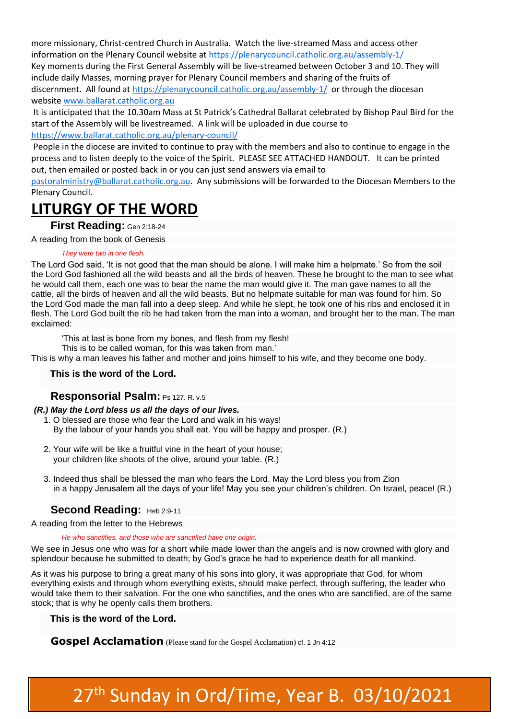more missionary, Christ-centred Church in Australia. Watch the live-streamed Mass and access other information on the Plenary Council website at<https://plenarycouncil.catholic.org.au/assembly-1/> Key moments during the First General Assembly will be live-streamed between October 3 and 10. They will include daily Masses, morning prayer for Plenary Council members and sharing of the fruits of discernment. All found a[t https://plenarycouncil.catholic.org.au/assembly-1/](https://plenarycouncil.catholic.org.au/assembly-1/) or through the diocesan website [www.ballarat.catholic.org.au](http://www.ballarat.catholic.org.au/)

It is anticipated that the 10.30am Mass at St Patrick's Cathedral Ballarat celebrated by Bishop Paul Bird for the start of the Assembly will be livestreamed. A link will be uploaded in due course to <https://www.ballarat.catholic.org.au/plenary-council/>

People in the diocese are invited to continue to pray with the members and also to continue to engage in the process and to listen deeply to the voice of the Spirit. PLEASE SEE ATTACHED HANDOUT. It can be printed out, then emailed or posted back in or you can just send answers via email to

[pastoralministry@ballarat.catholic.org.au.](mailto:pastoralministry@ballarat.catholic.org.au) Any submissions will be forwarded to the Diocesan Members to the Plenary Council.

## **LITURGY OF THE WORD**

**First Reading:** [Gen 2:18-24](https://liturgyhelp.com/ritual/lectionary/LectionaryList%7Cgen#gen002)

A reading from the book of Genesis

#### *They were two in one flesh.*

The Lord God said, 'It is not good that the man should be alone. I will make him a helpmate.' So from the soil the Lord God fashioned all the wild beasts and all the birds of heaven. These he brought to the man to see what he would call them, each one was to bear the name the man would give it. The man gave names to all the cattle, all the birds of heaven and all the wild beasts. But no helpmate suitable for man was found for him. So the Lord God made the man fall into a deep sleep. And while he slept, he took one of his ribs and enclosed it in flesh. The Lord God built the rib he had taken from the man into a woman, and brought her to the man. The man exclaimed:

'This at last is bone from my bones, and flesh from my flesh!

This is to be called woman, for this was taken from man.'

This is why a man leaves his father and mother and joins himself to his wife, and they become one body.

#### **This is the word of the Lord.**

#### **Responsorial Psalm:** [Ps 127. R. v.5](https://liturgyhelp.com/ritual/lectionary/LectionaryListPsalm%7Cpsm)

#### *(R.) May the Lord bless us all the days of our lives.*

- 1. O blessed are those who fear the Lord and walk in his ways! By the labour of your hands you shall eat. You will be happy and prosper. (R.)
- 2. Your wife will be like a fruitful vine in the heart of your house; your children like shoots of the olive, around your table. (R.)
- 3. Indeed thus shall be blessed the man who fears the Lord. May the Lord bless you from Zion in a happy Jerusalem all the days of your life! May you see your children's children. On Israel, peace! (R.)

#### **Second Reading: [Heb 2:9-11](https://liturgyhelp.com/ritual/lectionary/LectionaryList%7Cheb#heb002)**

A reading from the letter to the Hebrews

#### *He who sanctifies, and those who are sanctified have one origin.*

We see in Jesus one who was for a short while made lower than the angels and is now crowned with glory and splendour because he submitted to death; by God's grace he had to experience death for all mankind.

As it was his purpose to bring a great many of his sons into glory, it was appropriate that God, for whom everything exists and through whom everything exists, should make perfect, through suffering, the leader who would take them to their salvation. For the one who sanctifies, and the ones who are sanctified, are of the same stock; that is why he openly calls them brothers.

#### **This is the word of the Lord.**

**Gospel Acclamation** (Please stand for the Gospel Acclamation) [cf. 1 Jn 4:12](https://liturgyhelp.com/ritual/lectionary/LectionaryListGosAc%7Cjn1#jn1004)

## 27<sup>th</sup> Sunday in Ord/Time, Year B. 03/10/2021